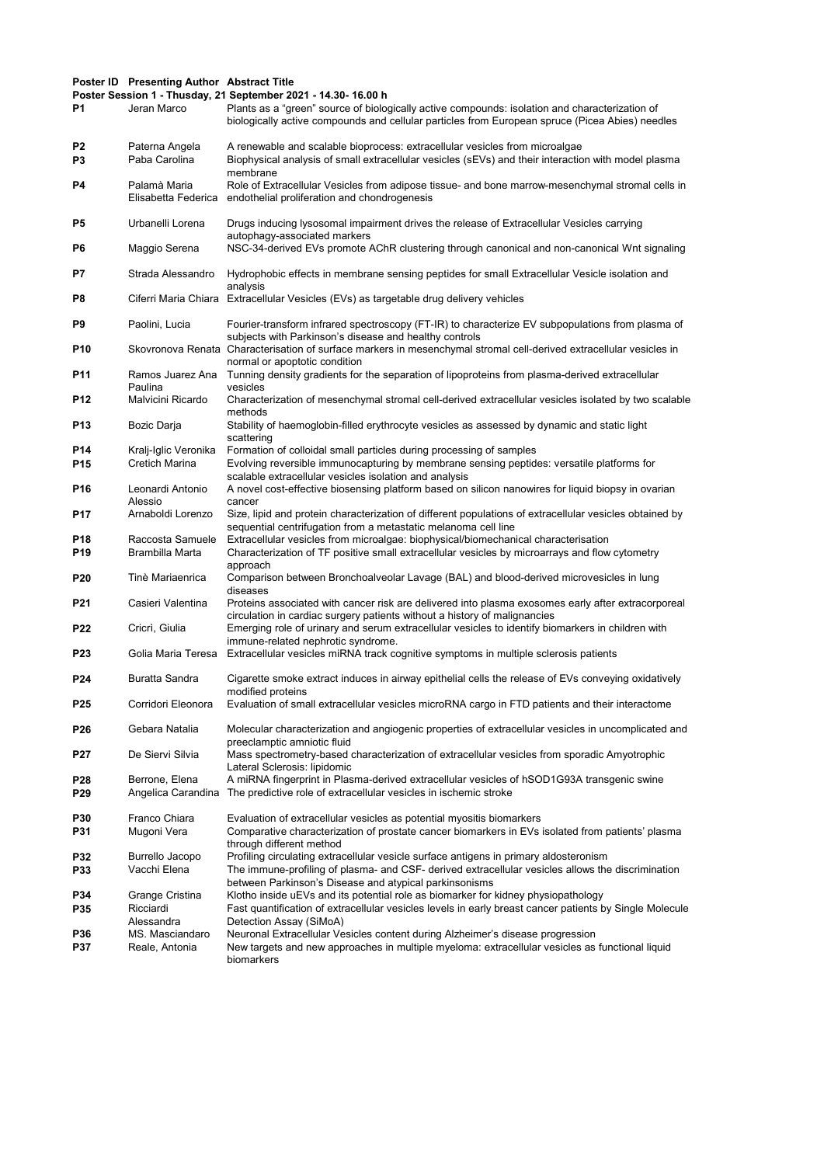## Poster ID Presenting Author Abstract Title

Poster Session 1 - Thusday, 21 September 2021 - 14.30- 16.00 h

| P1                   | Jeran Marco                                | Poster Session 1 - Thusday, 21 September 2021 - 14.30- 16.00 h<br>Plants as a "green" source of biologically active compounds: isolation and characterization of<br>biologically active compounds and cellular particles from European spruce (Picea Abies) needles               |
|----------------------|--------------------------------------------|-----------------------------------------------------------------------------------------------------------------------------------------------------------------------------------------------------------------------------------------------------------------------------------|
| P2<br>P <sub>3</sub> | Paterna Angela<br>Paba Carolina            | A renewable and scalable bioprocess: extracellular vesicles from microalgae<br>Biophysical analysis of small extracellular vesicles (sEVs) and their interaction with model plasma<br>membrane                                                                                    |
| P4                   | Palamà Maria<br>Elisabetta Federica        | Role of Extracellular Vesicles from adipose tissue- and bone marrow-mesenchymal stromal cells in<br>endothelial proliferation and chondrogenesis                                                                                                                                  |
| P5                   | Urbanelli Lorena                           | Drugs inducing lysosomal impairment drives the release of Extracellular Vesicles carrying<br>autophagy-associated markers                                                                                                                                                         |
| P6                   | Maggio Serena                              | NSC-34-derived EVs promote AChR clustering through canonical and non-canonical Wnt signaling                                                                                                                                                                                      |
| P7                   | Strada Alessandro                          | Hydrophobic effects in membrane sensing peptides for small Extracellular Vesicle isolation and<br>analysis                                                                                                                                                                        |
| P8                   |                                            | Ciferri Maria Chiara Extracellular Vesicles (EVs) as targetable drug delivery vehicles                                                                                                                                                                                            |
| P9                   | Paolini, Lucia                             | Fourier-transform infrared spectroscopy (FT-IR) to characterize EV subpopulations from plasma of<br>subjects with Parkinson's disease and healthy controls                                                                                                                        |
| P10                  |                                            | Skovronova Renata Characterisation of surface markers in mesenchymal stromal cell-derived extracellular vesicles in<br>normal or apoptotic condition                                                                                                                              |
| P11                  | Ramos Juarez Ana<br>Paulina                | Tunning density gradients for the separation of lipoproteins from plasma-derived extracellular<br>vesicles                                                                                                                                                                        |
| P12                  | Malvicini Ricardo                          | Characterization of mesenchymal stromal cell-derived extracellular vesicles isolated by two scalable<br>methods                                                                                                                                                                   |
| P13                  | Bozic Darja                                | Stability of haemoglobin-filled erythrocyte vesicles as assessed by dynamic and static light<br>scattering                                                                                                                                                                        |
| P14<br>P15           | Kralj-Iglic Veronika<br>Cretich Marina     | Formation of colloidal small particles during processing of samples<br>Evolving reversible immunocapturing by membrane sensing peptides: versatile platforms for<br>scalable extracellular vesicles isolation and analysis                                                        |
| P16                  | Leonardi Antonio<br>Alessio                | A novel cost-effective biosensing platform based on silicon nanowires for liquid biopsy in ovarian<br>cancer                                                                                                                                                                      |
| P17                  | Arnaboldi Lorenzo                          | Size, lipid and protein characterization of different populations of extracellular vesicles obtained by<br>sequential centrifugation from a metastatic melanoma cell line                                                                                                         |
| P18<br>P19           | Raccosta Samuele<br>Brambilla Marta        | Extracellular vesicles from microalgae: biophysical/biomechanical characterisation<br>Characterization of TF positive small extracellular vesicles by microarrays and flow cytometry<br>approach                                                                                  |
| P20                  | Tinè Mariaenrica                           | Comparison between Bronchoalveolar Lavage (BAL) and blood-derived microvesicles in lung<br>diseases                                                                                                                                                                               |
| P21                  | Casieri Valentina                          | Proteins associated with cancer risk are delivered into plasma exosomes early after extracorporeal<br>circulation in cardiac surgery patients without a history of malignancies                                                                                                   |
| <b>P22</b>           | Cricrì, Giulia                             | Emerging role of urinary and serum extracellular vesicles to identify biomarkers in children with<br>immune-related nephrotic syndrome.                                                                                                                                           |
| P23                  | Golia Maria Teresa                         | Extracellular vesicles miRNA track cognitive symptoms in multiple sclerosis patients                                                                                                                                                                                              |
| P24                  | Buratta Sandra                             | Cigarette smoke extract induces in airway epithelial cells the release of EVs conveying oxidatively<br>modified proteins                                                                                                                                                          |
| P <sub>25</sub>      | Corridori Eleonora                         | Evaluation of small extracellular vesicles microRNA cargo in FTD patients and their interactome                                                                                                                                                                                   |
| P26                  | Gebara Natalia                             | Molecular characterization and angiogenic properties of extracellular vesicles in uncomplicated and<br>preeclamptic amniotic fluid                                                                                                                                                |
| P27                  | De Siervi Silvia                           | Mass spectrometry-based characterization of extracellular vesicles from sporadic Amyotrophic<br>Lateral Sclerosis: lipidomic                                                                                                                                                      |
| P28<br>P29           | Berrone, Elena<br>Angelica Carandina       | A miRNA fingerprint in Plasma-derived extracellular vesicles of hSOD1G93A transgenic swine<br>The predictive role of extracellular vesicles in ischemic stroke                                                                                                                    |
| P30<br>P31           | Franco Chiara<br>Mugoni Vera               | Evaluation of extracellular vesicles as potential myositis biomarkers<br>Comparative characterization of prostate cancer biomarkers in EVs isolated from patients' plasma                                                                                                         |
| P32<br>P33           | Burrello Jacopo<br>Vacchi Elena            | through different method<br>Profiling circulating extracellular vesicle surface antigens in primary aldosteronism<br>The immune-profiling of plasma- and CSF- derived extracellular vesicles allows the discrimination                                                            |
| P34<br>P35           | Grange Cristina<br>Ricciardi<br>Alessandra | between Parkinson's Disease and atypical parkinsonisms<br>Klotho inside uEVs and its potential role as biomarker for kidney physiopathology<br>Fast quantification of extracellular vesicles levels in early breast cancer patients by Single Molecule<br>Detection Assay (SiMoA) |
| P36<br>P37           | MS. Masciandaro<br>Reale, Antonia          | Neuronal Extracellular Vesicles content during Alzheimer's disease progression<br>New targets and new approaches in multiple myeloma: extracellular vesicles as functional liquid<br>biomarkers                                                                                   |